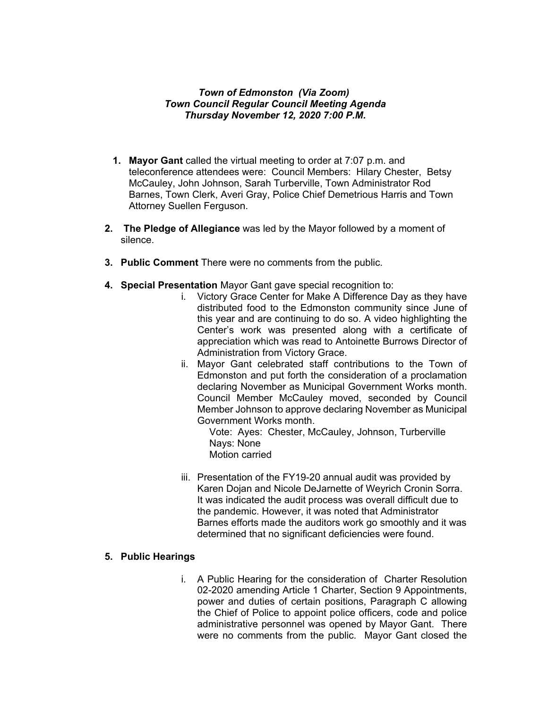## *Town of Edmonston (Via Zoom) Town Council Regular Council Meeting Agenda Thursday November 12, 2020 7:00 P.M.*

- **1. Mayor Gant** called the virtual meeting to order at 7:07 p.m. and teleconference attendees were: Council Members: Hilary Chester, Betsy McCauley, John Johnson, Sarah Turberville, Town Administrator Rod Barnes, Town Clerk, Averi Gray, Police Chief Demetrious Harris and Town Attorney Suellen Ferguson.
- **2. The Pledge of Allegiance** was led by the Mayor followed by a moment of silence.
- **3. Public Comment** There were no comments from the public.
- **4. Special Presentation** Mayor Gant gave special recognition to:
	- i. Victory Grace Center for Make A Difference Day as they have distributed food to the Edmonston community since June of this year and are continuing to do so. A video highlighting the Center's work was presented along with a certificate of appreciation which was read to Antoinette Burrows Director of Administration from Victory Grace.
	- ii. Mayor Gant celebrated staff contributions to the Town of Edmonston and put forth the consideration of a proclamation declaring November as Municipal Government Works month. Council Member McCauley moved, seconded by Council Member Johnson to approve declaring November as Municipal Government Works month.

Vote: Ayes: Chester, McCauley, Johnson, Turberville Nays: None Motion carried

iii. Presentation of the FY19-20 annual audit was provided by Karen Dojan and Nicole DeJarnette of Weyrich Cronin Sorra. It was indicated the audit process was overall difficult due to the pandemic. However, it was noted that Administrator Barnes efforts made the auditors work go smoothly and it was determined that no significant deficiencies were found.

## **5. Public Hearings**

i. A Public Hearing for the consideration of Charter Resolution 02-2020 amending Article 1 Charter, Section 9 Appointments, power and duties of certain positions, Paragraph C allowing the Chief of Police to appoint police officers, code and police administrative personnel was opened by Mayor Gant. There were no comments from the public. Mayor Gant closed the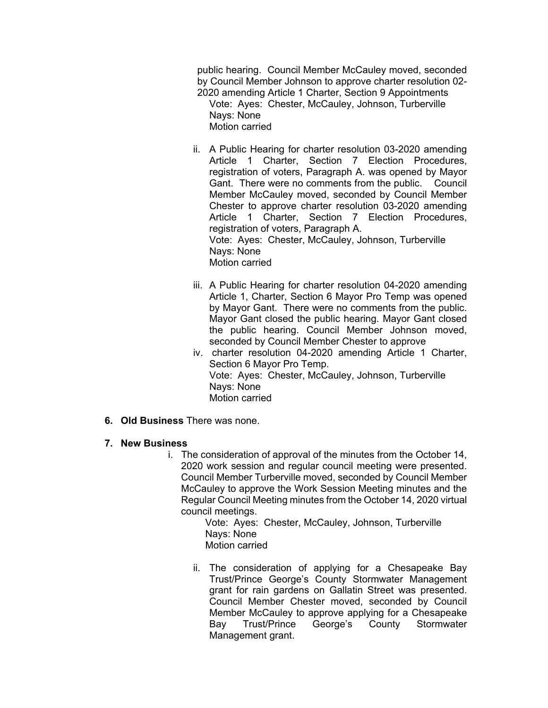public hearing. Council Member McCauley moved, seconded by Council Member Johnson to approve charter resolution 02- 2020 amending Article 1 Charter, Section 9 Appointments

Vote: Ayes: Chester, McCauley, Johnson, Turberville Nays: None

Motion carried

- ii. A Public Hearing for charter resolution 03-2020 amending Article 1 Charter, Section 7 Election Procedures, registration of voters, Paragraph A. was opened by Mayor Gant. There were no comments from the public. Council Member McCauley moved, seconded by Council Member Chester to approve charter resolution 03-2020 amending Article 1 Charter, Section 7 Election Procedures, registration of voters, Paragraph A. Vote: Ayes: Chester, McCauley, Johnson, Turberville Nays: None Motion carried
- iii. A Public Hearing for charter resolution 04-2020 amending Article 1, Charter, Section 6 Mayor Pro Temp was opened by Mayor Gant. There were no comments from the public. Mayor Gant closed the public hearing. Mayor Gant closed the public hearing. Council Member Johnson moved, seconded by Council Member Chester to approve
- iv. charter resolution 04-2020 amending Article 1 Charter, Section 6 Mayor Pro Temp. Vote: Ayes: Chester, McCauley, Johnson, Turberville Nays: None Motion carried
- **6. Old Business** There was none.
- **7. New Business**
	- i. The consideration of approval of the minutes from the October 14, 2020 work session and regular council meeting were presented. Council Member Turberville moved, seconded by Council Member McCauley to approve the Work Session Meeting minutes and the Regular Council Meeting minutes from the October 14, 2020 virtual council meetings.

Vote: Ayes: Chester, McCauley, Johnson, Turberville Nays: None Motion carried

ii. The consideration of applying for a Chesapeake Bay Trust/Prince George's County Stormwater Management grant for rain gardens on Gallatin Street was presented. Council Member Chester moved, seconded by Council Member McCauley to approve applying for a Chesapeake Bay Trust/Prince George's County Stormwater Management grant.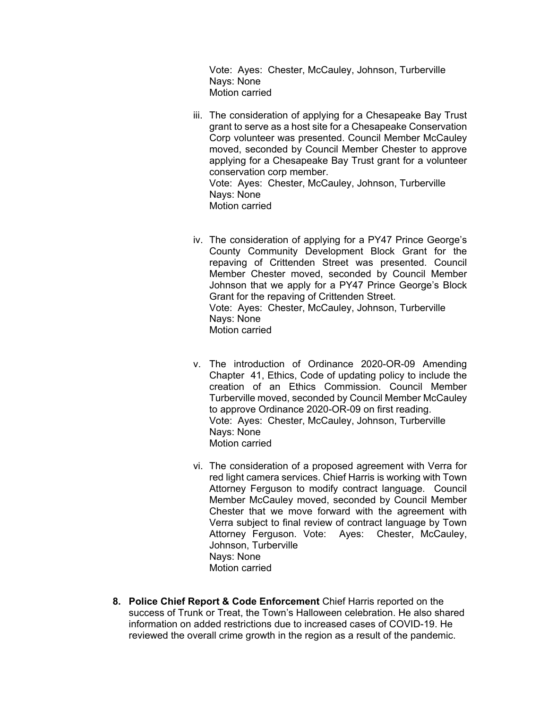Vote: Ayes: Chester, McCauley, Johnson, Turberville Nays: None Motion carried

- iii. The consideration of applying for a Chesapeake Bay Trust grant to serve as a host site for a Chesapeake Conservation Corp volunteer was presented. Council Member McCauley moved, seconded by Council Member Chester to approve applying for a Chesapeake Bay Trust grant for a volunteer conservation corp member. Vote: Ayes: Chester, McCauley, Johnson, Turberville Nays: None Motion carried
- iv. The consideration of applying for a PY47 Prince George's County Community Development Block Grant for the repaving of Crittenden Street was presented. Council Member Chester moved, seconded by Council Member Johnson that we apply for a PY47 Prince George's Block Grant for the repaving of Crittenden Street. Vote: Ayes: Chester, McCauley, Johnson, Turberville Nays: None Motion carried
- v. The introduction of Ordinance 2020-OR-09 Amending Chapter 41, Ethics, Code of updating policy to include the creation of an Ethics Commission. Council Member Turberville moved, seconded by Council Member McCauley to approve Ordinance 2020-OR-09 on first reading. Vote: Ayes: Chester, McCauley, Johnson, Turberville Nays: None Motion carried
- vi. The consideration of a proposed agreement with Verra for red light camera services. Chief Harris is working with Town Attorney Ferguson to modify contract language. Council Member McCauley moved, seconded by Council Member Chester that we move forward with the agreement with Verra subject to final review of contract language by Town Attorney Ferguson. Vote: Ayes: Chester, McCauley, Johnson, Turberville Nays: None Motion carried
- **8. Police Chief Report & Code Enforcement** Chief Harris reported on the success of Trunk or Treat, the Town's Halloween celebration. He also shared information on added restrictions due to increased cases of COVID-19. He reviewed the overall crime growth in the region as a result of the pandemic.